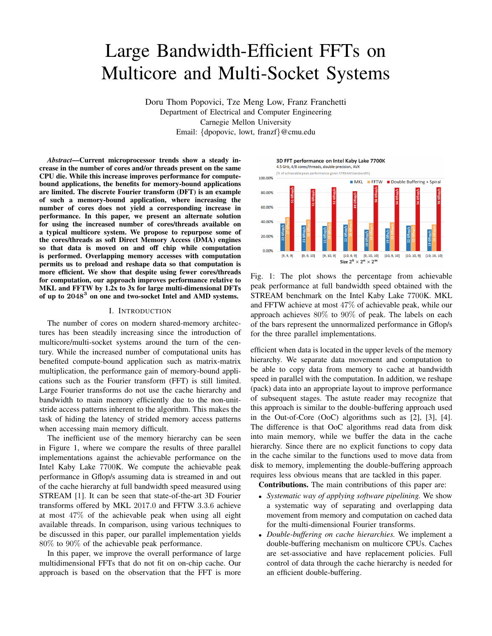# Large Bandwidth-Efficient FFTs on Multicore and Multi-Socket Systems

Doru Thom Popovici, Tze Meng Low, Franz Franchetti Department of Electrical and Computer Engineering Carnegie Mellon University Email: {dpopovic, lowt, franzf}@cmu.edu

*Abstract*—Current microprocessor trends show a steady increase in the number of cores and/or threads present on the same CPU die. While this increase improves performance for computebound applications, the benefits for memory-bound applications are limited. The discrete Fourier transform (DFT) is an example of such a memory-bound application, where increasing the number of cores does not yield a corresponding increase in performance. In this paper, we present an alternate solution for using the increased number of cores/threads available on a typical multicore system. We propose to repurpose some of the cores/threads as soft Direct Memory Access (DMA) engines so that data is moved on and off chip while computation is performed. Overlapping memory accesses with computation permits us to preload and reshape data so that computation is more efficient. We show that despite using fewer cores/threads for computation, our approach improves performance relative to MKL and FFTW by 1.2x to 3x for large multi-dimensional DFTs of up to 2048<sup>3</sup> on one and two-socket Intel and AMD systems.

#### I. INTRODUCTION

The number of cores on modern shared-memory architectures has been steadily increasing since the introduction of multicore/multi-socket systems around the turn of the century. While the increased number of computational units has benefited compute-bound application such as matrix-matrix multiplication, the performance gain of memory-bound applications such as the Fourier transform (FFT) is still limited. Large Fourier transforms do not use the cache hierarchy and bandwidth to main memory efficiently due to the non-unitstride access patterns inherent to the algorithm. This makes the task of hiding the latency of strided memory access patterns when accessing main memory difficult.

The inefficient use of the memory hierarchy can be seen in Figure 1, where we compare the results of three parallel implementations against the achievable performance on the Intel Kaby Lake 7700K. We compute the achievable peak performance in Gflop/s assuming data is streamed in and out of the cache hierarchy at full bandwidth speed measured using STREAM [1]. It can be seen that state-of-the-art 3D Fourier transforms offered by MKL 2017.0 and FFTW 3.3.6 achieve at most 47% of the achievable peak when using all eight available threads. In comparison, using various techniques to be discussed in this paper, our parallel implementation yields 80% to 90% of the achievable peak performance.

In this paper, we improve the overall performance of large multidimensional FFTs that do not fit on on-chip cache. Our approach is based on the observation that the FFT is more

3D FFT performance on Intel Kaby Lake 7700K 4.5 GHz, 4/8 cores/threads, double-precision, AVX [% of achievable peak performance given STREAM ba



Fig. 1: The plot shows the percentage from achievable peak performance at full bandwidth speed obtained with the STREAM benchmark on the Intel Kaby Lake 7700K. MKL and FFTW achieve at most 47% of achievable peak, while our approach achieves 80% to 90% of peak. The labels on each of the bars represent the unnormalized performance in Gflop/s for the three parallel implementations.

efficient when data is located in the upper levels of the memory hierarchy. We separate data movement and computation to be able to copy data from memory to cache at bandwidth speed in parallel with the computation. In addition, we reshape (pack) data into an appropriate layout to improve performance of subsequent stages. The astute reader may recognize that this approach is similar to the double-buffering approach used in the Out-of-Core (OoC) algorithms such as [2], [3], [4]. The difference is that OoC algorithms read data from disk into main memory, while we buffer the data in the cache hierarchy. Since there are no explicit functions to copy data in the cache similar to the functions used to move data from disk to memory, implementing the double-buffering approach requires less obvious means that are tackled in this paper.

Contributions. The main contributions of this paper are:

- *Systematic way of applying software pipelining.* We show a systematic way of separating and overlapping data movement from memory and computation on cached data for the multi-dimensional Fourier transforms.
- *Double-buffering on cache hierarchies.* We implement a double-buffering mechanism on multicore CPUs. Caches are set-associative and have replacement policies. Full control of data through the cache hierarchy is needed for an efficient double-buffering.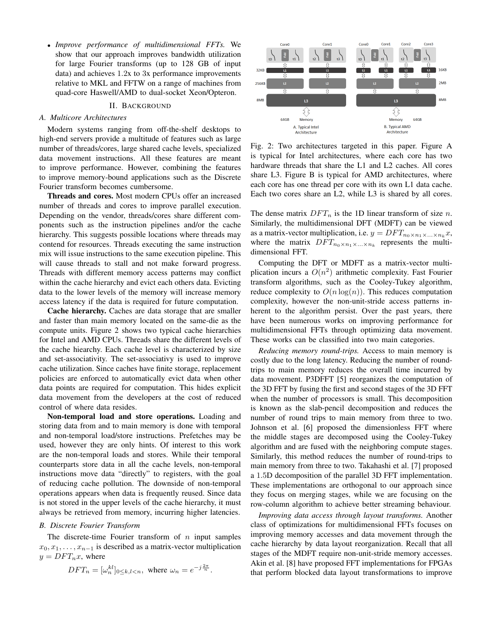• *Improve performance of multidimensional FFTs.* We show that our approach improves bandwidth utilization for large Fourier transforms (up to 128 GB of input data) and achieves 1.2x to 3x performance improvements relative to MKL and FFTW on a range of machines from quad-core Haswell/AMD to dual-socket Xeon/Opteron.

# II. BACKGROUND

## *A. Multicore Architectures*

Modern systems ranging from off-the-shelf desktops to high-end servers provide a multitude of features such as large number of threads/cores, large shared cache levels, specialized data movement instructions. All these features are meant to improve performance. However, combining the features to improve memory-bound applications such as the Discrete Fourier transform becomes cumbersome.

Threads and cores. Most modern CPUs offer an increased number of threads and cores to improve parallel execution. Depending on the vendor, threads/cores share different components such as the instruction pipelines and/or the cache hierarchy. This suggests possible locations where threads may contend for resources. Threads executing the same instruction mix will issue instructions to the same execution pipeline. This will cause threads to stall and not make forward progress. Threads with different memory access patterns may conflict within the cache hierarchy and evict each others data. Evicting data to the lower levels of the memory will increase memory access latency if the data is required for future computation.

Cache hierarchy. Caches are data storage that are smaller and faster than main memory located on the same-die as the compute units. Figure 2 shows two typical cache hierarchies for Intel and AMD CPUs. Threads share the different levels of the cache hiearchy. Each cache level is characterized by size and set-associativity. The set-associativy is used to improve cache utilization. Since caches have finite storage, replacement policies are enforced to automatically evict data when other data points are required for computation. This hides explicit data movement from the developers at the cost of reduced control of where data resides.

Non-temporal load and store operations. Loading and storing data from and to main memory is done with temporal and non-temporal load/store instructions. Prefetches may be used, however they are only hints. Of interest to this work are the non-temporal loads and stores. While their temporal counterparts store data in all the cache levels, non-temporal instructions move data "directly" to registers, with the goal of reducing cache pollution. The downside of non-temporal operations appears when data is frequently reused. Since data is not stored in the upper levels of the cache hierarchy, it must always be retrieved from memory, incurring higher latencies.

# *B. Discrete Fourier Transform*

The discrete-time Fourier transform of  $n$  input samples  $x_0, x_1, \ldots, x_{n-1}$  is described as a matrix-vector multiplication  $y = DFT_n x$ , where

$$
DFT_n = [\omega_n^{kl}]_{0 \le k, l < n}, \text{ where } \omega_n = e^{-j\frac{2\pi}{n}}.
$$



Fig. 2: Two architectures targeted in this paper. Figure A is typical for Intel architectures, where each core has two hardware threads that share the L1 and L2 caches. All cores share L3. Figure B is typical for AMD architectures, where each core has one thread per core with its own L1 data cache. Each two cores share an L2, while L3 is shared by all cores.

The dense matrix  $DFT_n$  is the 1D linear transform of size n. Similarly, the multidimensional DFT (MDFT) can be viewed as a matrix-vector multiplication, i.e.  $y = DFT_{n_0 \times n_1 \times ... \times n_k}x$ , where the matrix  $DFT_{n_0\times n_1\times\ldots\times n_k}$  represents the multidimensional FFT.

Computing the DFT or MDFT as a matrix-vector multiplication incurs a  $O(n^2)$  arithmetic complexity. Fast Fourier transform algorithms, such as the Cooley-Tukey algorithm, reduce complexity to  $O(n \log(n))$ . This reduces computation complexity, however the non-unit-stride access patterns inherent to the algorithm persist. Over the past years, there have been numerous works on improving performance for multidimensional FFTs through optimizing data movement. These works can be classified into two main categories.

*Reducing memory round-trips.* Access to main memory is costly due to the long latency. Reducing the number of roundtrips to main memory reduces the overall time incurred by data movement. P3DFFT [5] reorganizes the computation of the 3D FFT by fusing the first and second stages of the 3D FFT when the number of processors is small. This decomposition is known as the slab-pencil decomposition and reduces the number of round trips to main memory from three to two. Johnson et al. [6] proposed the dimensionless FFT where the middle stages are decomposed using the Cooley-Tukey algorithm and are fused with the neighboring compute stages. Similarly, this method reduces the number of round-trips to main memory from three to two. Takahashi et al. [7] proposed a 1.5D decomposition of the parallel 3D FFT implementation. These implementations are orthogonal to our approach since they focus on merging stages, while we are focusing on the row-column algorithm to achieve better streaming behaviour.

*Improving data access through layout transforms.* Another class of optimizations for multidimensional FFTs focuses on improving memory accesses and data movement through the cache hierarchy by data layout reorganization. Recall that all stages of the MDFT require non-unit-stride memory accesses. Akin et al. [8] have proposed FFT implementations for FPGAs that perform blocked data layout transformations to improve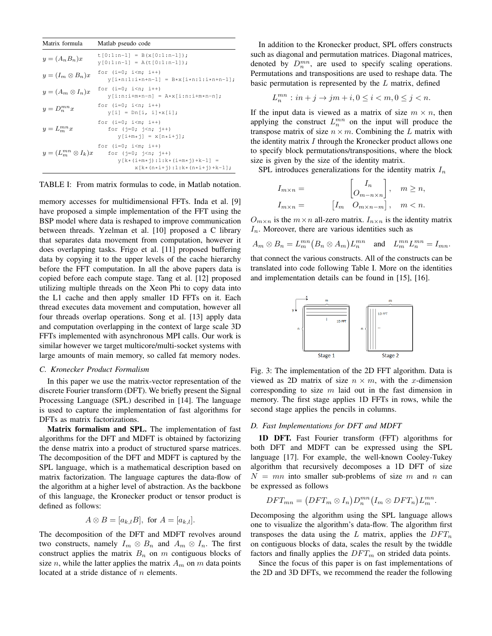| Matrix formula             | Matlab pseudo code                                                                                                                                      |
|----------------------------|---------------------------------------------------------------------------------------------------------------------------------------------------------|
| $y = (A_n B_n)x$           | $t[0:1:n-1] = B(x[0:1:n-1])$ ;<br>$y[0:1:n-1] = A(t[0:1:n-1])$ ;                                                                                        |
| $y=(I_m\otimes B_n)x$      | for $(i=0; i\le m; i++)$<br>$v[i*n:1:i*n+n-1] = B*x[i*n:1:i*n+n-1];$                                                                                    |
| $y=(A_m\otimes I_n)x$      | for $(i=0; i \le n; i++)$<br>$y[i:n:i+m*n-n] = Axx[i:n:i+m*n-n];$                                                                                       |
| $y = D_n^{mn}x$            | for $(i=0; i \le n; i++)$<br>$v[i] = Dn[i, i]*x[i];$                                                                                                    |
| $y = L_m^{mn}x$            | for $(i=0; i \le m; i++)$<br>for $(i=0; i \le n; i++)$<br>$v[i+m*1] = x[n*1+1];$                                                                        |
| $y=(L_m^{mn}\otimes I_k)x$ | for $(i=0; i\leq m; i++)$<br>for (i=0; i <n; i++)<br=""><math>y[k*(i+m*1):1:k*(i+m*1)*k-1] =</math><br/><math>x[k*(n*1+1):1:k*(n*1+1)*k-1];</math></n;> |

TABLE I: From matrix formulas to code, in Matlab notation.

memory accesses for multidimensional FFTs. Inda et al. [9] have proposed a simple implementation of the FFT using the BSP model where data is reshaped to improve communication between threads. Yzelman et al. [10] proposed a C library that separates data movement from computation, however it does overlapping tasks. Frigo et al. [11] proposed buffering data by copying it to the upper levels of the cache hierarchy before the FFT computation. In all the above papers data is copied before each compute stage. Tang et al. [12] proposed utilizing multiple threads on the Xeon Phi to copy data into the L1 cache and then apply smaller 1D FFTs on it. Each thread executes data movement and computation, however all four threads overlap operations. Song et al. [13] apply data and computation overlapping in the context of large scale 3D FFTs implemented with asynchronous MPI calls. Our work is similar however we target multicore/multi-socket systems with large amounts of main memory, so called fat memory nodes.

## *C. Kronecker Product Formalism*

In this paper we use the matrix-vector representation of the discrete Fourier transform (DFT). We briefly present the Signal Processing Language (SPL) described in [14]. The language is used to capture the implementation of fast algorithms for DFTs as matrix factorizations.

Matrix formalism and SPL. The implementation of fast algorithms for the DFT and MDFT is obtained by factorizing the dense matrix into a product of structured sparse matrices. The decomposition of the DFT and MDFT is captured by the SPL language, which is a mathematical description based on matrix factorization. The language captures the data-flow of the algorithm at a higher level of abstraction. As the backbone of this language, the Kronecker product or tensor product is defined as follows:

$$
A \otimes B = [a_{k,l}B], \text{ for } A = [a_{k,l}].
$$

The decomposition of the DFT and MDFT revolves around two constructs, namely  $I_m \otimes B_n$  and  $A_m \otimes I_n$ . The first construct applies the matrix  $B_n$  on m contiguous blocks of size n, while the latter applies the matrix  $A_m$  on m data points located at a stride distance of  $n$  elements.

In addition to the Kronecker product, SPL offers constructs such as diagonal and permutation matrices. Diagonal matrices, denoted by  $D_n^{mn}$ , are used to specify scaling operations. Permutations and transpositions are used to reshape data. The basic permutation is represented by the  $L$  matrix, defined

$$
L_n^{mn}: in+j \to jm+i, 0 \le i < m, 0 \le j < n.
$$

If the input data is viewed as a matrix of size  $m \times n$ , then applying the construct  $L_n^{mn}$  on the input will produce the transpose matrix of size  $n \times m$ . Combining the L matrix with the identity matrix  $I$  through the Kronecker product allows one to specify block permutations/transpositions, where the block size is given by the size of the identity matrix.

SPL introduces generalizations for the identity matrix  $I_n$ 

$$
I_{m \times n} = \begin{bmatrix} I_n \\ O_{m-n \times n} \end{bmatrix}, \quad m \ge n,
$$
  

$$
I_{m \times n} = \begin{bmatrix} I_m & O_{m \times n-m} \end{bmatrix}, \quad m < n.
$$

 $O_{m \times n}$  is the  $m \times n$  all-zero matrix.  $I_{n \times n}$  is the identity matrix  $I_n$ . Moreover, there are various identities such as

$$
A_m \otimes B_n = L_m^{mn} (B_n \otimes A_m) L_n^{mn} \quad \text{and} \quad L_m^{mn} L_n^{mn} = I_{mn}.
$$

that connect the various constructs. All of the constructs can be translated into code following Table I. More on the identities and implementation details can be found in [15], [16].



Fig. 3: The implementation of the 2D FFT algorithm. Data is viewed as 2D matrix of size  $n \times m$ , with the x-dimension corresponding to size  $m$  laid out in the fast dimension in memory. The first stage applies 1D FFTs in rows, while the second stage applies the pencils in columns.

### *D. Fast Implementations for DFT and MDFT*

1D DFT. Fast Fourier transform (FFT) algorithms for both DFT and MDFT can be expressed using the SPL language [17]. For example, the well-known Cooley-Tukey algorithm that recursively decomposes a 1D DFT of size  $N = mn$  into smaller sub-problems of size m and n can be expressed as follows

$$
DFT_{mn} = (DFT_m \otimes I_n)D_n^{mn}(I_m \otimes DFT_n)L_m^{mn}.
$$

Decomposing the algorithm using the SPL language allows one to visualize the algorithm's data-flow. The algorithm first transposes the data using the  $L$  matrix, applies the  $DFT_n$ on contiguous blocks of data, scales the result by the twiddle factors and finally applies the  $DFT_m$  on strided data points.

Since the focus of this paper is on fast implementations of the 2D and 3D DFTs, we recommend the reader the following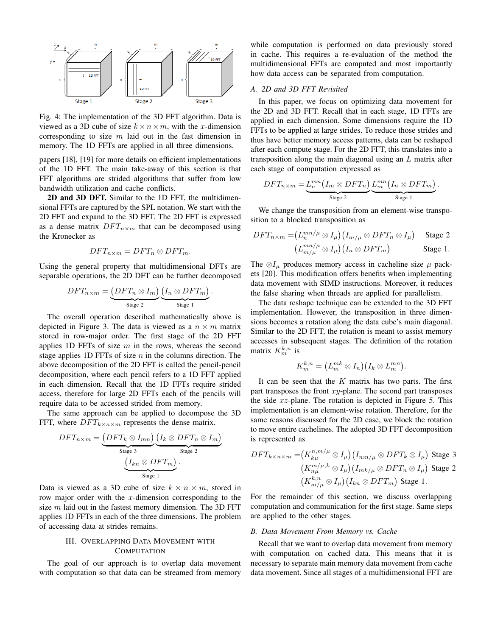

Fig. 4: The implementation of the 3D FFT algorithm. Data is viewed as a 3D cube of size  $k \times n \times m$ , with the x-dimension corresponding to size  $m$  laid out in the fast dimension in memory. The 1D FFTs are applied in all three dimensions.

papers [18], [19] for more details on efficient implementations of the 1D FFT. The main take-away of this section is that FFT algorithms are strided algorithms that suffer from low bandwidth utilization and cache conflicts.

2D and 3D DFT. Similar to the 1D FFT, the multidimensional FFTs are captured by the SPL notation. We start with the 2D FFT and expand to the 3D FFT. The 2D FFT is expressed as a dense matrix  $DFT_{n\times m}$  that can be decomposed using the Kronecker as

$$
DFT_{n\times m}=DFT_n\otimes DFT_m.
$$

Using the general property that multidimensional DFTs are separable operations, the 2D DFT can be further decomposed

$$
DFT_{n \times m} = \underbrace{(DFT_n \otimes I_m)}_{\text{Stage 2}} \underbrace{(I_n \otimes DFT_m)}_{\text{Stage 1}}.
$$

The overall operation described mathematically above is depicted in Figure 3. The data is viewed as a  $n \times m$  matrix stored in row-major order. The first stage of the 2D FFT applies 1D FFTs of size  $m$  in the rows, whereas the second stage applies 1D FFTs of size  $n$  in the columns direction. The above decomposition of the 2D FFT is called the pencil-pencil decomposition, where each pencil refers to a 1D FFT applied in each dimension. Recall that the 1D FFTs require strided access, therefore for large 2D FFTs each of the pencils will require data to be accessed strided from memory.

The same approach can be applied to decompose the 3D FFT, where  $DFT_{k\times n\times m}$  represents the dense matrix.

$$
DFT_{n \times m} = \underbrace{\underbrace{(DFT_k \otimes I_{mn})}_{\text{Stage 3}} \underbrace{\left(I_k \otimes DFT_n \otimes I_m\right)}_{\text{Stage 2}}}{\underbrace{\left(I_{kn} \otimes DFT_m\right)}_{\text{Stage 1}}}.
$$

Data is viewed as a 3D cube of size  $k \times n \times m$ , stored in row major order with the  $x$ -dimension corresponding to the size  $m$  laid out in the fastest memory dimension. The 3D FFT applies 1D FFTs in each of the three dimensions. The problem of accessing data at strides remains.

# III. OVERLAPPING DATA MOVEMENT WITH **COMPUTATION**

The goal of our approach is to overlap data movement with computation so that data can be streamed from memory

while computation is performed on data previously stored in cache. This requires a re-evaluation of the method the multidimensional FFTs are computed and most importantly how data access can be separated from computation.

## *A. 2D and 3D FFT Revisited*

In this paper, we focus on optimizing data movement for the 2D and 3D FFT. Recall that in each stage, 1D FFTs are applied in each dimension. Some dimensions require the 1D FFTs to be applied at large strides. To reduce those strides and thus have better memory access patterns, data can be reshaped after each compute stage. For the 2D FFT, this translates into a transposition along the main diagonal using an L matrix after each stage of computation expressed as

$$
DFT_{n \times m} = \underbrace{L_n^{mn}(I_m \otimes DFT_n)}_{\text{Stage 2}} \underbrace{L_m^{mn}(I_n \otimes DFT_m)}_{\text{Stage 1}}.
$$

We change the transposition from an element-wise transposition to a blocked transposition as

$$
DFT_{n \times m} = (L_n^{mn/\mu} \otimes I_\mu) (I_{m/\mu} \otimes DFT_n \otimes I_\mu)
$$
Stage 2  

$$
(L_{m/\mu}^{mn/\mu} \otimes I_\mu) (I_n \otimes DFT_m)
$$
Stage 1.

The  $\otimes I_\mu$  produces memory access in cacheline size  $\mu$  packets [20]. This modification offers benefits when implementing data movement with SIMD instructions. Moreover, it reduces the false sharing when threads are applied for parallelism.

The data reshape technique can be extended to the 3D FFT implementation. However, the transposition in three dimensions becomes a rotation along the data cube's main diagonal. Similar to the 2D FFT, the rotation is meant to assist memory accesses in subsequent stages. The definition of the rotation matrix  $K_m^{k,n}$  is

$$
K_m^{k,n} = (L_m^{mk} \otimes I_n) (I_k \otimes L_m^{mn}).
$$

It can be seen that the  $K$  matrix has two parts. The first part transposes the front  $xy$ -plane. The second part transposes the side  $xz$ -plane. The rotation is depicted in Figure 5. This implementation is an element-wise rotation. Therefore, for the same reasons discussed for the 2D case, we block the rotation to move entire cachelines. The adopted 3D FFT decomposition is represented as

$$
DFT_{k \times n \times m} = (K_{k\mu}^{n,m/\mu} \otimes I_{\mu})(I_{nm/\mu} \otimes DFT_k \otimes I_{\mu}) \text{ Stage 3}
$$

$$
(K_{m\mu}^{m/\mu,k} \otimes I_{\mu})(I_{mk/\mu} \otimes DFT_n \otimes I_{\mu}) \text{ Stage 2}
$$

$$
(K_{m/\mu}^{k,n} \otimes I_{\mu})(I_{kn} \otimes DFT_m) \text{ Stage 1.}
$$

For the remainder of this section, we discuss overlapping computation and communication for the first stage. Same steps are applied to the other stages.

#### *B. Data Movement From Memory vs. Cache*

Recall that we want to overlap data movement from memory with computation on cached data. This means that it is necessary to separate main memory data movement from cache data movement. Since all stages of a multidimensional FFT are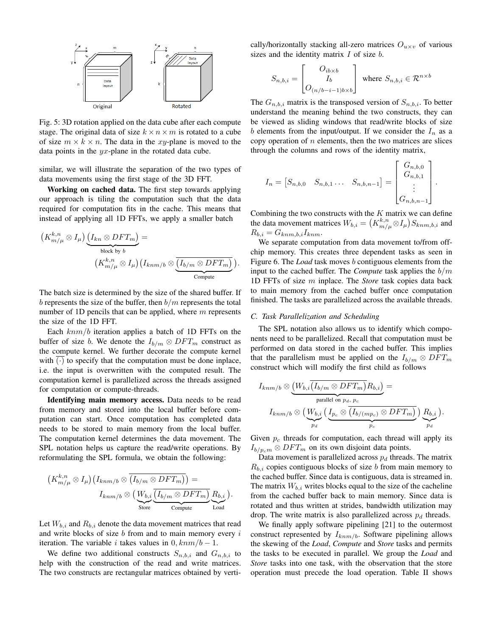

Fig. 5: 3D rotation applied on the data cube after each compute stage. The original data of size  $k \times n \times m$  is rotated to a cube of size  $m \times k \times n$ . The data in the xy-plane is moved to the data points in the  $yx$ -plane in the rotated data cube.

similar, we will illustrate the separation of the two types of data movements using the first stage of the 3D FFT.

Working on cached data. The first step towards applying our approach is tiling the computation such that the data required for computation fits in the cache. This means that instead of applying all 1D FFTs, we apply a smaller batch

$$
(K_{m/\mu}^{k,n} \otimes I_{\mu}) \underbrace{(I_{kn} \otimes DFT_m)}_{\text{block by } b} =
$$
  

$$
(K_{m/\mu}^{k,n} \otimes I_{\mu}) (I_{knm/b} \otimes \underbrace{\overline{(I_{b/m} \otimes DFT_m)}}_{\text{Compute}}).
$$

The batch size is determined by the size of the shared buffer. If b represents the size of the buffer, then  $b/m$  represents the total number of 1D pencils that can be applied, where  $m$  represents the size of the 1D FFT.

Each  $kmm/b$  iteration applies a batch of 1D FFTs on the buffer of size b. We denote the  $I_{b/m} \otimes DFT_m$  construct as the compute kernel. We further decorate the compute kernel with  $(\cdot)$  to specify that the computation must be done inplace, i.e. the input is overwritten with the computed result. The computation kernel is parallelized across the threads assigned for computation or compute-threads.

Identifying main memory access. Data needs to be read from memory and stored into the local buffer before computation can start. Once computation has completed data needs to be stored to main memory from the local buffer. The computation kernel determines the data movement. The SPL notation helps us capture the read/write operations. By reformulating the SPL formula, we obtain the following:

$$
(K_{m/\mu}^{k,n} \otimes I_{\mu}) (I_{knm/b} \otimes \overline{(I_{b/m} \otimes DFT_m)}) =
$$
  

$$
I_{knm/b} \otimes (\underbrace{W_{b,i}}_{\text{Store}} \overline{(I_{b/m} \otimes DFT_m)} R_{b,i}).
$$

Let  $W_{b,i}$  and  $R_{b,i}$  denote the data movement matrices that read and write blocks of size  $b$  from and to main memory every  $i$ iteration. The variable *i* takes values in  $0, kmm/b - 1$ .

We define two additional constructs  $S_{n,b,i}$  and  $G_{n,b,i}$  to help with the construction of the read and write matrices. The two constructs are rectangular matrices obtained by vertically/horizontally stacking all-zero matrices  $O_{u \times v}$  of various sizes and the identity matrix  $I$  of size  $b$ .

$$
S_{n,b,i} = \begin{bmatrix} O_{ib \times b} \\ I_b \\ O_{(n/b-i-1)b \times b} \end{bmatrix}
$$
 where  $S_{n,b,i} \in \mathcal{R}^{n \times b}$ 

The  $G_{n,b,i}$  matrix is the transposed version of  $S_{n,b,i}$ . To better understand the meaning behind the two constructs, they can be viewed as sliding windows that read/write blocks of size b elements from the input/output. If we consider the  $I_n$  as a copy operation of  $n$  elements, then the two matrices are slices through the columns and rows of the identity matrix,

$$
I_n = \begin{bmatrix} S_{n,b,0} & S_{n,b,1} \dots & S_{n,b,n-1} \end{bmatrix} = \begin{bmatrix} G_{n,b,0} \\ G_{n,b,1} \\ \vdots \\ G_{n,b,n-1} \end{bmatrix}.
$$

Combining the two constructs with the  $K$  matrix we can define the data movement matrices  $W_{b,i} = \left( K_{m/\mu}^{k,n} \otimes I_{\mu} \right) S_{knm,b,i}$  and  $R_{b,i} = G_{knm,b,i}I_{knm}.$ 

We separate computation from data movement to/from offchip memory. This creates three dependent tasks as seen in Figure 6. The *Load* task moves b contiguous elements from the input to the cached buffer. The *Compute* task applies the  $b/m$ 1D FFTs of size m inplace. The *Store* task copies data back to main memory from the cached buffer once computation finished. The tasks are parallelized across the available threads.

### *C. Task Parallelization and Scheduling*

The SPL notation also allows us to identify which components need to be parallelized. Recall that computation must be performed on data stored in the cached buffer. This implies that the parallelism must be applied on the  $I_{b/m} \otimes DFT_m$ construct which will modify the first child as follows

$$
I_{knm/b} \otimes \underbrace{(W_{b,i} \overline{(I_{b/m} \otimes DFT_m)} R_{b,i})}_{\text{parallel on } p_d, p_c} =
$$
  

$$
I_{knm/b} \otimes \underbrace{(W_{b,i} \left(I_{p_c} \otimes \overline{(I_{b/(mp_c) \otimes DFT_m)}}\right) R_{b,i}}_{p_d} R_{b,i}).
$$

Given  $p_c$  threads for computation, each thread will apply its  $I_{b/p_c m} \otimes DFT_m$  on its own disjoint data points.

Data movement is parallelized across  $p_d$  threads. The matrix  $R_{b,i}$  copies contiguous blocks of size b from main memory to the cached buffer. Since data is contiguous, data is streamed in. The matrix  $W_{b,i}$  writes blocks equal to the size of the cacheline from the cached buffer back to main memory. Since data is rotated and thus written at strides, bandwidth utilization may drop. The write matrix is also parallelized across  $p_d$  threads.

We finally apply software pipelining [21] to the outermost construct represented by  $I_{kmn/b}$ . Software pipelining allows the skewing of the *Load*, *Compute* and *Store* tasks and permits the tasks to be executed in parallel. We group the *Load* and *Store* tasks into one task, with the observation that the store operation must precede the load operation. Table II shows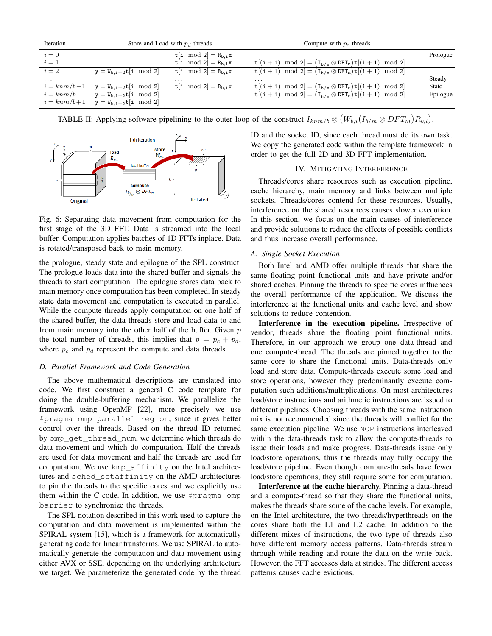| Iteration     |                            | Store and Load with $p_d$ threads | Compute with $p_c$ threads                                                                                                 |          |
|---------------|----------------------------|-----------------------------------|----------------------------------------------------------------------------------------------------------------------------|----------|
| $i=0$         |                            | $t[i \mod 2] = R_{b,i}x$          |                                                                                                                            | Prologue |
| $i=1$         |                            | $t[i \mod 2] = R_{b,i} x$         | $t[(i + 1) \mod 2] = (I_{b/m} \otimes DFT_m)t[(i + 1) \mod 2]$                                                             |          |
| $i=2$         | $y = W_{b,i-2}t[i \mod 2]$ | $t[i \mod 2] = R_{b,i}x$          | $\boxed{\texttt{t}[(i+1) \mod 2] = (\texttt{I}_{\texttt{b/m}} \otimes \texttt{DFT}_{\texttt{m}})\texttt{t}[(i+1) \mod 2]}$ |          |
| $\cdots$      |                            | $\cdots$                          | .                                                                                                                          | Steady   |
| $i = kmm/b-1$ | $y = W_{b,i-2}t[i \mod 2]$ | $t[i \mod 2] = R_{b,i} x$         | $t[(i + 1) \mod 2] = (I_{b/m} \otimes DFT_m)t[(i + 1) \mod 2]$                                                             | State    |
| $i = knm/b$   | $y = W_{b,i-2}t[i \mod 2]$ |                                   | $\texttt{t}[(i+1) \mod 2] = (I_{\texttt{b/m}} \otimes \texttt{DFT}_m) \texttt{t}[(i+1) \mod 2]$                            | Epilogue |
| $i = kmm/b+1$ | $y = W_{b,i-2}t[i \mod 2]$ |                                   |                                                                                                                            |          |

TABLE II: Applying software pipelining to the outer loop of the construct  $I_{k n m/b} \otimes (W_{b,i} (I_{b/m} \otimes DFT_m) R_{b,i}).$ 



Fig. 6: Separating data movement from computation for the first stage of the 3D FFT. Data is streamed into the local buffer. Computation applies batches of 1D FFTs inplace. Data is rotated/transposed back to main memory.

the prologue, steady state and epilogue of the SPL construct. The prologue loads data into the shared buffer and signals the threads to start computation. The epilogue stores data back to main memory once computation has been completed. In steady state data movement and computation is executed in parallel. While the compute threads apply computation on one half of the shared buffer, the data threads store and load data to and from main memory into the other half of the buffer. Given  $p$ the total number of threads, this implies that  $p = p_c + p_d$ , where  $p_c$  and  $p_d$  represent the compute and data threads.

## *D. Parallel Framework and Code Generation*

The above mathematical descriptions are translated into code. We first construct a general C code template for doing the double-buffering mechanism. We parallelize the framework using OpenMP [22], more precisely we use #pragma omp parallel region, since it gives better control over the threads. Based on the thread ID returned by omp\_get\_thread\_num, we determine which threads do data movement and which do computation. Half the threads are used for data movement and half the threads are used for computation. We use kmp\_affinity on the Intel architectures and sched\_setaffinity on the AMD architectures to pin the threads to the specific cores and we explicitly use them within the C code. In addition, we use #pragma omp barrier to synchronize the threads.

The SPL notation described in this work used to capture the computation and data movement is implemented within the SPIRAL system [15], which is a framework for automatically generating code for linear transforms. We use SPIRAL to automatically generate the computation and data movement using either AVX or SSE, depending on the underlying architecture we target. We parameterize the generated code by the thread ID and the socket ID, since each thread must do its own task. We copy the generated code within the template framework in order to get the full 2D and 3D FFT implementation.

#### IV. MITIGATING INTERFERENCE

Threads/cores share resources such as execution pipeline, cache hierarchy, main memory and links between multiple sockets. Threads/cores contend for these resources. Usually, interference on the shared resources causes slower execution. In this section, we focus on the main causes of interference and provide solutions to reduce the effects of possible conflicts and thus increase overall performance.

#### *A. Single Socket Execution*

Both Intel and AMD offer multiple threads that share the same floating point functional units and have private and/or shared caches. Pinning the threads to specific cores influences the overall performance of the application. We discuss the interference at the functional units and cache level and show solutions to reduce contention.

Interference in the execution pipeline. Irrespective of vendor, threads share the floating point functional units. Therefore, in our approach we group one data-thread and one compute-thread. The threads are pinned together to the same core to share the functional units. Data-threads only load and store data. Compute-threads execute some load and store operations, however they predominantly execute computation such additions/multiplications. On most architectures load/store instructions and arithmetic instructions are issued to different pipelines. Choosing threads with the same instruction mix is not recommended since the threads will conflict for the same execution pipeline. We use NOP instructions interleaved within the data-threads task to allow the compute-threads to issue their loads and make progress. Data-threads issue only load/store operations, thus the threads may fully occupy the load/store pipeline. Even though compute-threads have fewer load/store operations, they still require some for computation.

Interference at the cache hierarchy. Pinning a data-thread and a compute-thread so that they share the functional units, makes the threads share some of the cache levels. For example, on the Intel architecture, the two threads/hyperthreads on the cores share both the L1 and L2 cache. In addition to the different mixes of instructions, the two type of threads also have different memory access patterns. Data-threads stream through while reading and rotate the data on the write back. However, the FFT accesses data at strides. The different access patterns causes cache evictions.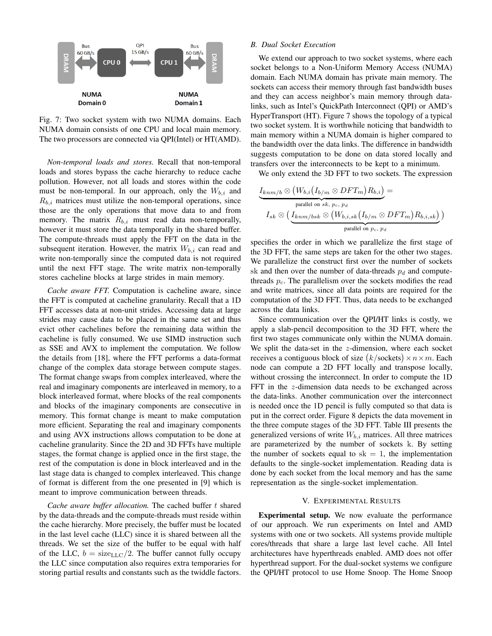

Fig. 7: Two socket system with two NUMA domains. Each NUMA domain consists of one CPU and local main memory. The two processors are connected via QPI(Intel) or HT(AMD).

*Non-temporal loads and stores.* Recall that non-temporal loads and stores bypass the cache hierarchy to reduce cache pollution. However, not all loads and stores within the code must be non-temporal. In our approach, only the  $W_{b,i}$  and  $R_{b,i}$  matrices must utilize the non-temporal operations, since those are the only operations that move data to and from memory. The matrix  $R_{b,i}$  must read data non-temporally, however it must store the data temporally in the shared buffer. The compute-threads must apply the FFT on the data in the subsequent iteration. However, the matrix  $W_{b,i}$  can read and write non-temporally since the computed data is not required until the next FFT stage. The write matrix non-temporally stores cacheline blocks at large strides in main memory.

*Cache aware FFT.* Computation is cacheline aware, since the FFT is computed at cacheline granularity. Recall that a 1D FFT accesses data at non-unit strides. Accessing data at large strides may cause data to be placed in the same set and thus evict other cachelines before the remaining data within the cacheline is fully consumed. We use SIMD instruction such as SSE and AVX to implement the computation. We follow the details from [18], where the FFT performs a data-format change of the complex data storage between compute stages. The format change swaps from complex interleaved, where the real and imaginary components are interleaved in memory, to a block interleaved format, where blocks of the real components and blocks of the imaginary components are consecutive in memory. This format change is meant to make computation more efficient. Separating the real and imaginary components and using AVX instructions allows computation to be done at cacheline granularity. Since the 2D and 3D FFTs have multiple stages, the format change is applied once in the first stage, the rest of the computation is done in block interleaved and in the last stage data is changed to complex interleaved. This change of format is different from the one presented in [9] which is meant to improve communication between threads.

*Cache aware buffer allocation.* The cached buffer t shared by the data-threads and the compute-threads must reside within the cache hierarchy. More precisely, the buffer must be located in the last level cache (LLC) since it is shared between all the threads. We set the size of the buffer to be equal with half of the LLC,  $b = size_{LLC}/2$ . The buffer cannot fully occupy the LLC since computation also requires extra temporaries for storing partial results and constants such as the twiddle factors.

# *B. Dual Socket Execution*

We extend our approach to two socket systems, where each socket belongs to a Non-Uniform Memory Access (NUMA) domain. Each NUMA domain has private main memory. The sockets can access their memory through fast bandwidth buses and they can access neighbor's main memory through datalinks, such as Intel's QuickPath Interconnect (QPI) or AMD's HyperTransport (HT). Figure 7 shows the topology of a typical two socket system. It is worthwhile noticing that bandwidth to main memory within a NUMA domain is higher compared to the bandwidth over the data links. The difference in bandwidth suggests computation to be done on data stored locally and transfers over the interconnects to be kept to a minimum.

We only extend the 3D FFT to two sockets. The expression

$$
I_{knm/b} \otimes (W_{b,i}(I_{b/m} \otimes DFT_m)R_{b,i}) =
$$
  
parallel on sk, p<sub>c</sub>, p<sub>d</sub>  

$$
I_{sk} \otimes (I_{knm/bsk} \otimes (W_{b,i,sk}(I_{b/m} \otimes DFT_m)R_{b,i,sk}))
$$
  
parallel on p<sub>c</sub>, p<sub>d</sub>

specifies the order in which we parallelize the first stage of the 3D FFT, the same steps are taken for the other two stages. We parallelize the construct first over the number of sockets sk and then over the number of data-threads  $p_d$  and computethreads  $p_c$ . The parallelism over the sockets modifies the read and write matrices, since all data points are required for the computation of the 3D FFT. Thus, data needs to be exchanged across the data links.

Since communication over the QPI/HT links is costly, we apply a slab-pencil decomposition to the 3D FFT, where the first two stages communicate only within the NUMA domain. We split the data-set in the  $z$ -dimension, where each socket receives a contiguous block of size  $(k/\text{sockets}) \times n \times m$ . Each node can compute a 2D FFT locally and transpose locally, without crossing the interconnect. In order to compute the 1D FFT in the *z*-dimension data needs to be exchanged across the data-links. Another communication over the interconnect is needed once the 1D pencil is fully computed so that data is put in the correct order. Figure 8 depicts the data movement in the three compute stages of the 3D FFT. Table III presents the generalized versions of write  $W_{b,i}$  matrices. All three matrices are parameterized by the number of sockets k. By setting the number of sockets equal to  $sk = 1$ , the implementation defaults to the single-socket implementation. Reading data is done by each socket from the local memory and has the same representation as the single-socket implementation.

#### V. EXPERIMENTAL RESULTS

Experimental setup. We now evaluate the performance of our approach. We run experiments on Intel and AMD systems with one or two sockets. All systems provide multiple cores/threads that share a large last level cache. All Intel architectures have hyperthreads enabled. AMD does not offer hyperthread support. For the dual-socket systems we configure the QPI/HT protocol to use Home Snoop. The Home Snoop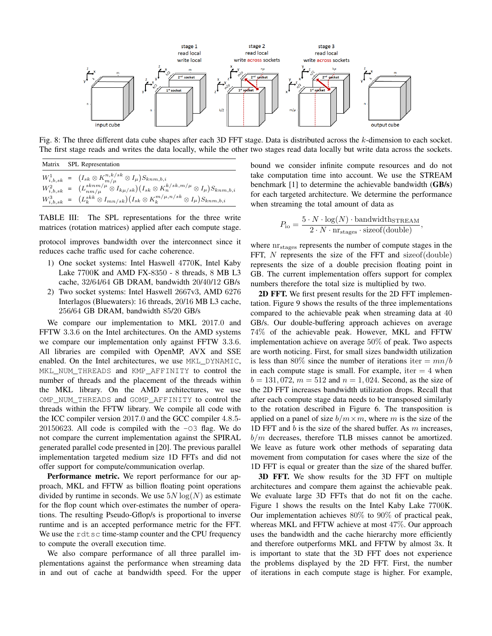

Fig. 8: The three different data cube shapes after each 3D FFT stage. Data is distributed across the k-dimension to each socket. The first stage reads and writes the data locally, while the other two stages read data locally but write data across the sockets.

| Matrix SPL Representation |                                                                                                                                                           |
|---------------------------|-----------------------------------------------------------------------------------------------------------------------------------------------------------|
|                           | $W^1_{i,b,sk} \ = \ \ \left(I_{sk} \otimes K^{n,k/sk}_{m/\mu} \otimes I_{\mu}\right) S_{knm,b,i}$                                                         |
|                           | $W^2_{i,b,sk} \ = \ \big(L^{sknm/\mu}_{nm/\mu}\overset{\sim}{\otimes} I_{k\mu/sk}\big) \big(I_{sk}\otimes K^{k/sk,m/\mu}_n\otimes I_\mu\big) S_{knm,b,i}$ |
|                           | $W^3_{i,b,sk} = (L^{skk}_k \otimes I_{mn/sk})(I_{sk} \otimes K^{m/\mu,n/sk}_k \otimes I_\mu)S_{knm,b,i}$                                                  |

TABLE III: The SPL representations for the three write matrices (rotation matrices) applied after each compute stage.

protocol improves bandwidth over the interconnect since it reduces cache traffic used for cache coherence.

- 1) One socket systems: Intel Haswell 4770K, Intel Kaby Lake 7700K and AMD FX-8350 - 8 threads, 8 MB L3 cache, 32/64/64 GB DRAM, bandwidth 20/40/12 GB/s
- 2) Two socket systems: Intel Haswell 2667v3, AMD 6276 Interlagos (Bluewaters): 16 threads, 20/16 MB L3 cache, 256/64 GB DRAM, bandwidth 85/20 GB/s

We compare our implementation to MKL 2017.0 and FFTW 3.3.6 on the Intel architectures. On the AMD systems we compare our implementation only against FFTW 3.3.6. All libraries are compiled with OpenMP, AVX and SSE enabled. On the Intel architectures, we use MKL\_DYNAMIC, MKL NUM THREADS and KMP AFFINITY to control the number of threads and the placement of the threads within the MKL library. On the AMD architectures, we use OMP\_NUM\_THREADS and GOMP\_AFFINITY to control the threads within the FFTW library. We compile all code with the ICC compiler version 2017.0 and the GCC compiler 4.8.5- 20150623. All code is compiled with the -O3 flag. We do not compare the current implementation against the SPIRAL generated parallel code presented in [20]. The previous parallel implementation targeted medium size 1D FFTs and did not offer support for compute/communication overlap.

Performance metric. We report performance for our approach, MKL and FFTW as billion floating point operations divided by runtime in seconds. We use  $5N \log(N)$  as estimate for the flop count which over-estimates the number of operations. The resulting Pseudo-Gflop/s is proportional to inverse runtime and is an accepted performance metric for the FFT. We use the  $rdtsc$  time-stamp counter and the CPU frequency to compute the overall execution time.

We also compare performance of all three parallel implementations against the performance when streaming data in and out of cache at bandwidth speed. For the upper bound we consider infinite compute resources and do not take computation time into account. We use the STREAM benchmark [1] to determine the achievable bandwidth (GB/s) for each targeted architecture. We determine the performance when streaming the total amount of data as

$$
P_{\text{io}} = \frac{5 \cdot N \cdot \log(N) \cdot \text{bandwidth}_{\text{STREM}}}{2 \cdot N \cdot \text{nr}_{\text{stages}} \cdot \text{sizeof(double)}},
$$

where  $n_{\text{stages}}$  represents the number of compute stages in the FFT, N represents the size of the FFT and sizeof(double) represents the size of a double precision floating point in GB. The current implementation offers support for complex numbers therefore the total size is multiplied by two.

2D FFT. We first present results for the 2D FFT implementation. Figure 9 shows the results of the three implementations compared to the achievable peak when streaming data at 40 GB/s. Our double-buffering approach achieves on average 74% of the achievable peak. However, MKL and FFTW implementation achieve on average 50% of peak. Two aspects are worth noticing. First, for small sizes bandwidth utilization is less than 80% since the number of iterations iter  $= mn/b$ in each compute stage is small. For example, iter  $= 4$  when  $b = 131,072, m = 512$  and  $n = 1,024$ . Second, as the size of the 2D FFT increases bandwidth utilization drops. Recall that after each compute stage data needs to be transposed similarly to the rotation described in Figure 6. The transposition is applied on a panel of size  $b/m \times m$ , where m is the size of the 1D FFT and  $b$  is the size of the shared buffer. As  $m$  increases,  $b/m$  decreases, therefore TLB misses cannot be amortized. We leave as future work other methods of separating data movement from computation for cases where the size of the 1D FFT is equal or greater than the size of the shared buffer.

3D FFT. We show results for the 3D FFT on multiple architectures and compare them against the achievable peak. We evaluate large 3D FFTs that do not fit on the cache. Figure 1 shows the results on the Intel Kaby Lake 7700K. Our implementation achieves 80% to 90% of practical peak, whereas MKL and FFTW achieve at most 47%. Our approach uses the bandwidth and the cache hierarchy more efficiently and therefore outperforms MKL and FFTW by almost 3x. It is important to state that the 3D FFT does not experience the problems displayed by the 2D FFT. First, the number of iterations in each compute stage is higher. For example,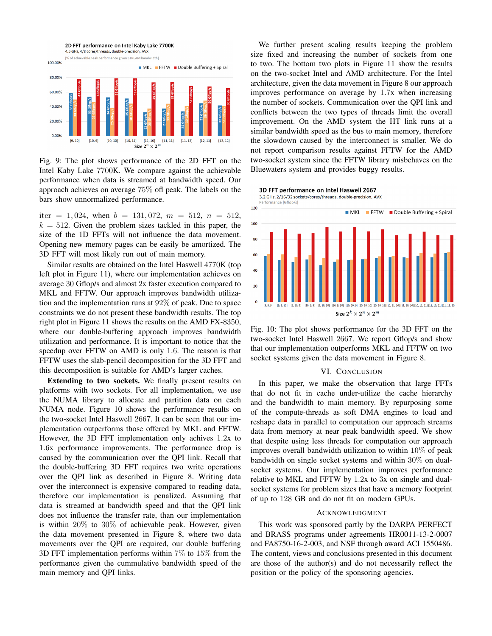

Fig. 9: The plot shows performance of the 2D FFT on the Intel Kaby Lake 7700K. We compare against the achievable performance when data is streamed at bandwidth speed. Our approach achieves on average 75% ofl peak. The labels on the bars show unnormalized performance.

iter = 1,024, when  $b = 131,072, m = 512, n = 512,$  $k = 512$ . Given the problem sizes tackled in this paper, the size of the 1D FFTs will not influence the data movement. Opening new memory pages can be easily be amortized. The 3D FFT will most likely run out of main memory.

Similar results are obtained on the Intel Haswell 4770K (top left plot in Figure 11), where our implementation achieves on average 30 Gflop/s and almost 2x faster execution compared to MKL and FFTW. Our approach improves bandwidth utilization and the implementation runs at 92% of peak. Due to space constraints we do not present these bandwidth results. The top right plot in Figure 11 shows the results on the AMD FX-8350, where our double-buffering approach improves bandwidth utilization and performance. It is important to notice that the speedup over FFTW on AMD is only 1.6. The reason is that FFTW uses the slab-pencil decomposition for the 3D FFT and this decomposition is suitable for AMD's larger caches.

Extending to two sockets. We finally present results on platforms with two sockets. For all implementation, we use the NUMA library to allocate and partition data on each NUMA node. Figure 10 shows the performance results on the two-socket Intel Haswell 2667. It can be seen that our implementation outperforms those offered by MKL and FFTW. However, the 3D FFT implementation only achives 1.2x to 1.6x performance improvements. The performance drop is caused by the communication over the QPI link. Recall that the double-buffering 3D FFT requires two write operations over the QPI link as described in Figure 8. Writing data over the interconnect is expensive compared to reading data, therefore our implementation is penalized. Assuming that data is streamed at bandwidth speed and that the QPI link does not influence the transfer rate, than our implementation is within 20% to 30% of achievable peak. However, given the data movement presented in Figure 8, where two data movements over the QPI are required, our double buffering 3D FFT implementation performs within 7% to 15% from the performance given the cummulative bandwidth speed of the main memory and QPI links.

We further present scaling results keeping the problem size fixed and increasing the number of sockets from one to two. The bottom two plots in Figure 11 show the results on the two-socket Intel and AMD architecture. For the Intel architecture, given the data movement in Figure 8 our approach improves performance on average by 1.7x when increasing the number of sockets. Communication over the QPI link and conflicts between the two types of threads limit the overall improvement. On the AMD system the HT link runs at a similar bandwidth speed as the bus to main memory, therefore the slowdown caused by the interconnect is smaller. We do not report comparison results against FFTW for the AMD two-socket system since the FFTW library misbehaves on the Bluewaters system and provides buggy results.

3D FFT performance on Intel Haswell 2667



Fig. 10: The plot shows performance for the 3D FFT on the two-socket Intel Haswell 2667. We report Gflop/s and show that our implementation outperforms MKL and FFTW on two socket systems given the data movement in Figure 8.

## VI. CONCLUSION

In this paper, we make the observation that large FFTs that do not fit in cache under-utilize the cache hierarchy and the bandwidth to main memory. By repurposing some of the compute-threads as soft DMA engines to load and reshape data in parallel to computation our approach streams data from memory at near peak bandwidth speed. We show that despite using less threads for computation our approach improves overall bandwidth utilization to within 10% of peak bandwidth on single socket systems and within 30% on dualsocket systems. Our implementation improves performance relative to MKL and FFTW by 1.2x to 3x on single and dualsocket systems for problem sizes that have a memory footprint of up to 128 GB and do not fit on modern GPUs.

#### ACKNOWLEDGMENT

This work was sponsored partly by the DARPA PERFECT and BRASS programs under agreements HR0011-13-2-0007 and FA8750-16-2-003, and NSF through award ACI 1550486. The content, views and conclusions presented in this document are those of the author(s) and do not necessarily reflect the position or the policy of the sponsoring agencies.